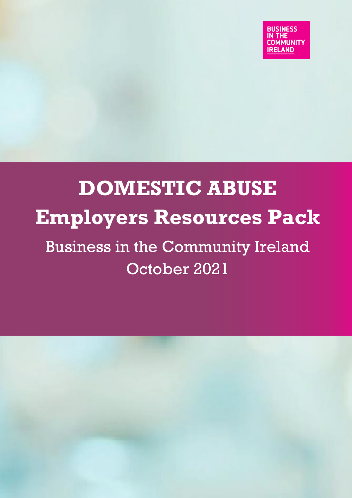# **DOMESTIC ABUSE Employers Resources Pack** Business in the Community Ireland October 2021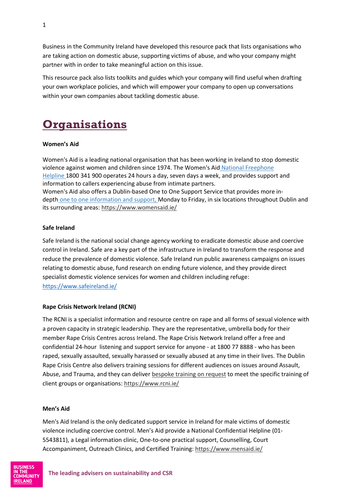Business in the Community Ireland have developed this resource pack that lists organisations who are taking action on domestic abuse, supporting victims of abuse, and who your company might partner with in order to take meaningful action on this issue.

This resource pack also lists toolkits and guides which your company will find useful when drafting your own workplace policies, and which will empower your company to open up conversations within your own companies about tackling domestic abuse.

## **Organisations**

### **Women's Aid**

Women's Aid is a leading national organisation that has been working in Ireland to stop domestic violence against women and children since 1974. The Women's Aid [National Freephone](https://www.womensaid.ie/services/helpline.html)  [Helpline](https://www.womensaid.ie/services/helpline.html) 1800 341 900 operates 24 hours a day, seven days a week, and provides support and information to callers experiencing abuse from intimate partners. Women's Aid also offers a Dublin-based One to One Support Service that provides more indepth [one to one information and support,](https://www.womensaid.ie/services/onetoone.html) Monday to Friday, in six locations throughout Dublin and its surrounding areas[: https://www.womensaid.ie/](https://www.womensaid.ie/)

### **Safe Ireland**

Safe Ireland is the national social change agency working to eradicate domestic abuse and coercive control in Ireland. Safe are a key part of the infrastructure in Ireland to transform the response and reduce the prevalence of domestic violence. Safe Ireland run public awareness campaigns on issues relating to domestic abuse, fund research on ending future violence, and they provide direct specialist domestic violence services for women and children including refuge: <https://www.safeireland.ie/>

### **Rape Crisis Network Ireland (RCNI)**

The RCNI is a specialist information and resource centre on rape and all forms of sexual violence with a proven capacity in strategic leadership. They are the representative, umbrella body for their member Rape Crisis Centres across Ireland. The Rape Crisis Network Ireland offer a free and confidential 24-hour listening and support service for anyone - at 1800 77 8888 - who has been raped, sexually assaulted, sexually harassed or sexually abused at any time in their lives. The Dublin Rape Crisis Centre also delivers training sessions for different audiences on issues around Assault, Abuse, and Trauma, and they can delive[r bespoke training on request](https://www.drcc.ie/services/education-training/bespoke/) to meet the specific training of client groups or organisations:<https://www.rcni.ie/>

### **Men's Aid**

Men's Aid Ireland is the only dedicated support service in Ireland for male victims of domestic violence including coercive control. Men's Aid provide a National Confidential Helpline (01- 5543811), a Legal information clinic, One-to-one practical support, Counselling, Court Accompaniment, Outreach Clinics, and Certified Training:<https://www.mensaid.ie/>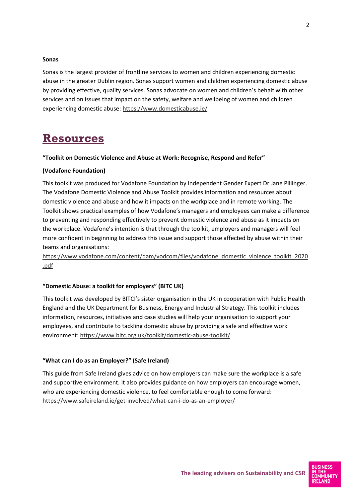#### **Sonas**

Sonas is the largest provider of frontline services to women and children experiencing domestic abuse in the greater Dublin region. Sonas support women and children experiencing domestic abuse by providing effective, quality services. Sonas advocate on women and children's behalf with other services and on issues that impact on the safety, welfare and wellbeing of women and children experiencing domestic abuse:<https://www.domesticabuse.ie/>

### **Resources**

### **"Toolkit on Domestic Violence and Abuse at Work: Recognise, Respond and Refer"**

### **(Vodafone Foundation)**

This toolkit was produced for Vodafone Foundation by Independent Gender Expert Dr Jane Pillinger. The Vodafone Domestic Violence and Abuse Toolkit provides information and resources about domestic violence and abuse and how it impacts on the workplace and in remote working. The Toolkit shows practical examples of how Vodafone's managers and employees can make a difference to preventing and responding effectively to prevent domestic violence and abuse as it impacts on the workplace. Vodafone's intention is that through the toolkit, employers and managers will feel more confident in beginning to address this issue and support those affected by abuse within their teams and organisations:

[https://www.vodafone.com/content/dam/vodcom/files/vodafone\\_domestic\\_violence\\_toolkit\\_2020](https://www.vodafone.com/content/dam/vodcom/files/vodafone_domestic_violence_toolkit_2020.pdf) [.pdf](https://www.vodafone.com/content/dam/vodcom/files/vodafone_domestic_violence_toolkit_2020.pdf)

### **"Domestic Abuse: a toolkit for employers" (BITC UK)**

This toolkit was developed by BITCI's sister organisation in the UK in cooperation with Public Health England and the UK Department for Business, Energy and Industrial Strategy. This toolkit includes information, resources, initiatives and case studies will help your organisation to support your employees, and contribute to tackling domestic abuse by providing a safe and effective work environment:<https://www.bitc.org.uk/toolkit/domestic-abuse-toolkit/>

### **"What can I do as an Employer?" (Safe Ireland)**

This guide from Safe Ireland gives advice on how employers can make sure the workplace is a safe and supportive environment. It also provides guidance on how employers can encourage women, who are experiencing domestic violence, to feel comfortable enough to come forward: <https://www.safeireland.ie/get-involved/what-can-i-do-as-an-employer/>

**AMI INITY**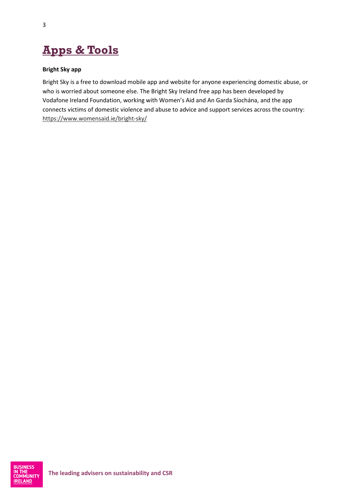# **Apps & Tools**

### **Bright Sky app**

Bright Sky is a free to download mobile app and website for anyone experiencing domestic abuse, or who is worried about someone else. The Bright Sky Ireland free app has been developed by Vodafone Ireland Foundation, working with Women's Aid and An Garda Síochána, and the app connects victims of domestic violence and abuse to advice and support services across the country: <https://www.womensaid.ie/bright-sky/>